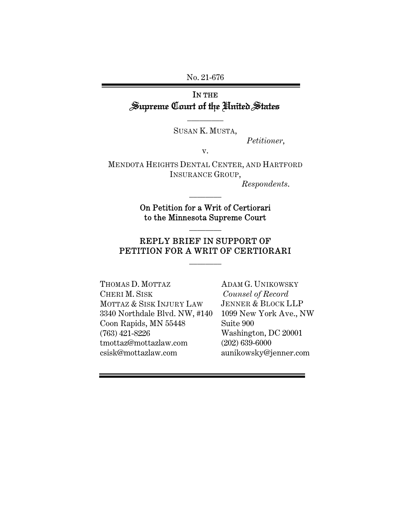No. 21-676

# IN THE Supreme Court of the United States

SUSAN K. MUSTA,

 $\overline{\phantom{a}}$  . The set of  $\overline{\phantom{a}}$ 

*Petitioner*,

v.

MENDOTA HEIGHTS DENTAL CENTER, AND HARTFORD INSURANCE GROUP,

*Respondents*.

On Petition for a Writ of Certiorari to the Minnesota Supreme Court

 $\frac{1}{2}$ 

 $\frac{1}{2}$ 

# REPLY BRIEF IN SUPPORT OF PETITION FOR A WRIT OF CERTIORARI

 $\frac{1}{2}$ 

THOMAS D. MOTTAZ CHERI M. SISK MOTTAZ & SISK INJURY LAW 3340 Northdale Blvd. NW, #140 Coon Rapids, MN 55448 (763) 421-8226 tmottaz@mottazlaw.com csisk@mottazlaw.com

ADAM G. UNIKOWSKY *Counsel of Record*  JENNER & BLOCK LLP 1099 New York Ave., NW Suite 900 Washington, DC 20001 (202) 639-6000 aunikowsky@jenner.com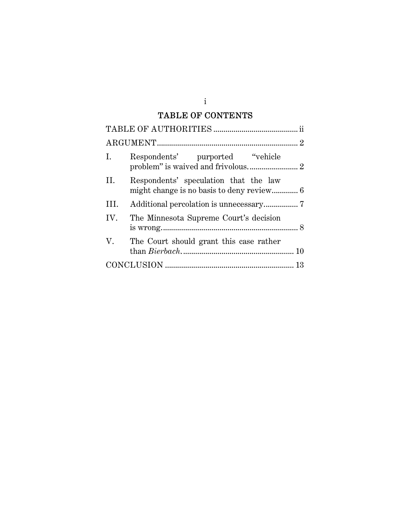# TABLE OF CONTENTS

| I.   | Respondents' purported "vehicle"        |  |  |  |  |
|------|-----------------------------------------|--|--|--|--|
| Н.   | Respondents' speculation that the law   |  |  |  |  |
| III. |                                         |  |  |  |  |
| IV.  | The Minnesota Supreme Court's decision  |  |  |  |  |
| V.   | The Court should grant this case rather |  |  |  |  |
|      |                                         |  |  |  |  |

i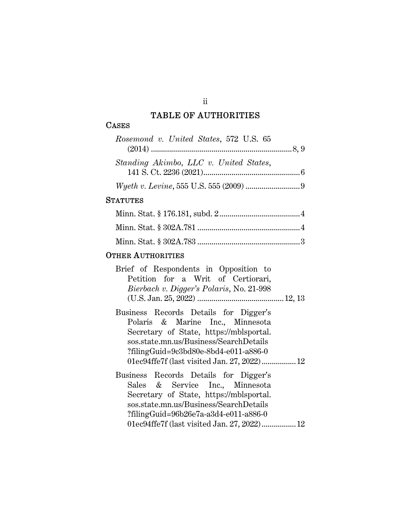## TABLE OF AUTHORITIES

#### **CASES**

| Rosemond v. United States, 572 U.S. 65 |
|----------------------------------------|
|                                        |
| Standing Akimbo, LLC v. United States, |
|                                        |
|                                        |

#### **STATUTES**

#### OTHER AUTHORITIES

| Brief of Respondents in Opposition to    |  |  |  |
|------------------------------------------|--|--|--|
| Petition for a Writ of Certiorari,       |  |  |  |
| Bierbach v. Digger's Polaris, No. 21-998 |  |  |  |
|                                          |  |  |  |

- Business Records Details for Digger's Polaris & Marine Inc., Minnesota Secretary of State, https://mblsportal. sos.state.mn.us/Business/SearchDetails ?filingGuid=9c3bd80e-8bd4-e011-a886-0 01ec94ffe7f (last visited Jan. 27, 2022) ................. 12
- Business Records Details for Digger's Sales & Service Inc., Minnesota Secretary of State, https://mblsportal. sos.state.mn.us/Business/SearchDetails ?filingGuid=96b26e7a-a3d4-e011-a886-0 01ec94ffe7f (last visited Jan. 27, 2022) ................. 12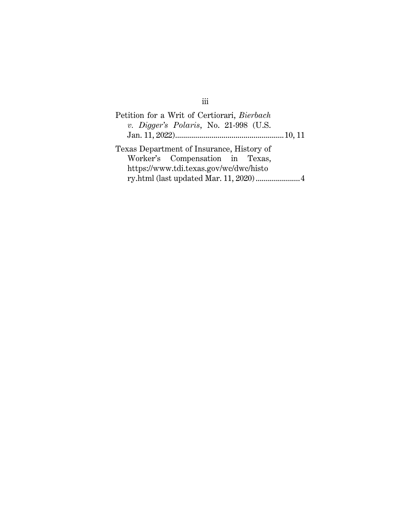| Petition for a Writ of Certiorari, Bierbach |  |  |  |  |  |  |  |
|---------------------------------------------|--|--|--|--|--|--|--|
| $v.$ Digger's Polaris, No. 21-998 (U.S.     |  |  |  |  |  |  |  |
|                                             |  |  |  |  |  |  |  |
| Texas Department of Insurance, History of   |  |  |  |  |  |  |  |
| Worker's Compensation in Texas,             |  |  |  |  |  |  |  |
| https://www.tdi.texas.gov/wc/dwc/histo      |  |  |  |  |  |  |  |
|                                             |  |  |  |  |  |  |  |

# iii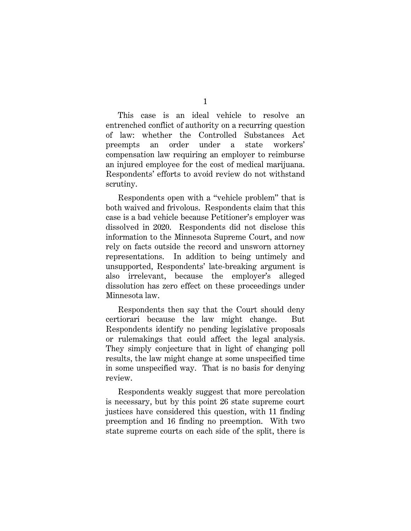1

This case is an ideal vehicle to resolve an entrenched conflict of authority on a recurring question of law: whether the Controlled Substances Act preempts an order under a state workers' compensation law requiring an employer to reimburse an injured employee for the cost of medical marijuana. Respondents' efforts to avoid review do not withstand scrutiny.

Respondents open with a "vehicle problem" that is both waived and frivolous. Respondents claim that this case is a bad vehicle because Petitioner's employer was dissolved in 2020. Respondents did not disclose this information to the Minnesota Supreme Court, and now rely on facts outside the record and unsworn attorney representations. In addition to being untimely and unsupported, Respondents' late-breaking argument is also irrelevant, because the employer's alleged dissolution has zero effect on these proceedings under Minnesota law.

Respondents then say that the Court should deny certiorari because the law might change. But Respondents identify no pending legislative proposals or rulemakings that could affect the legal analysis. They simply conjecture that in light of changing poll results, the law might change at some unspecified time in some unspecified way. That is no basis for denying review.

Respondents weakly suggest that more percolation is necessary, but by this point 26 state supreme court justices have considered this question, with 11 finding preemption and 16 finding no preemption. With two state supreme courts on each side of the split, there is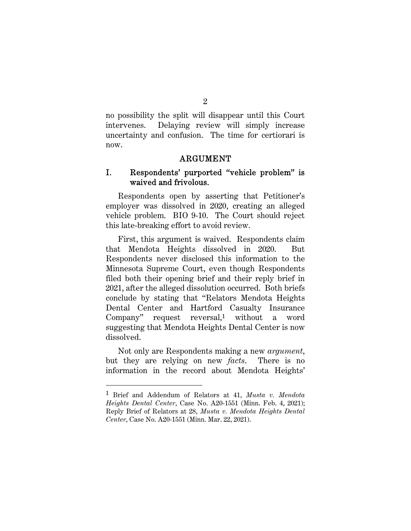no possibility the split will disappear until this Court intervenes. Delaying review will simply increase uncertainty and confusion. The time for certiorari is now.

#### ARGUMENT

# I. Respondents' purported "vehicle problem" is waived and frivolous.

Respondents open by asserting that Petitioner's employer was dissolved in 2020, creating an alleged vehicle problem. BIO 9-10. The Court should reject this late-breaking effort to avoid review.

First, this argument is waived. Respondents claim that Mendota Heights dissolved in 2020. But Respondents never disclosed this information to the Minnesota Supreme Court, even though Respondents filed both their opening brief and their reply brief in 2021, after the alleged dissolution occurred. Both briefs conclude by stating that "Relators Mendota Heights Dental Center and Hartford Casualty Insurance Company" request reversal,1 without a word suggesting that Mendota Heights Dental Center is now dissolved.

Not only are Respondents making a new *argument*, but they are relying on new *facts*. There is no information in the record about Mendota Heights'

<sup>1</sup> Brief and Addendum of Relators at 41, *Musta v. Mendota Heights Dental Center*, Case No. A20-1551 (Minn. Feb. 4, 2021); Reply Brief of Relators at 28, *Musta v. Mendota Heights Dental Center*, Case No. A20-1551 (Minn. Mar. 22, 2021).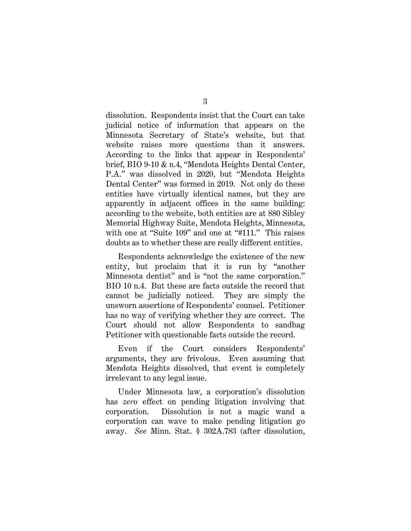dissolution. Respondents insist that the Court can take judicial notice of information that appears on the Minnesota Secretary of State's website, but that website raises more questions than it answers. According to the links that appear in Respondents' brief, BIO 9-10 & n.4, "Mendota Heights Dental Center, P.A." was dissolved in 2020, but "Mendota Heights Dental Center" was formed in 2019. Not only do these entities have virtually identical names, but they are apparently in adjacent offices in the same building: according to the website, both entities are at 880 Sibley Memorial Highway Suite, Mendota Heights, Minnesota, with one at "Suite 109" and one at "#111." This raises doubts as to whether these are really different entities.

Respondents acknowledge the existence of the new entity, but proclaim that it is run by "another Minnesota dentist" and is "not the same corporation." BIO 10 n.4. But these are facts outside the record that cannot be judicially noticed. They are simply the unsworn assertions of Respondents' counsel. Petitioner has no way of verifying whether they are correct. The Court should not allow Respondents to sandbag Petitioner with questionable facts outside the record.

Even if the Court considers Respondents' arguments, they are frivolous. Even assuming that Mendota Heights dissolved, that event is completely irrelevant to any legal issue.

Under Minnesota law, a corporation's dissolution has *zero* effect on pending litigation involving that corporation. Dissolution is not a magic wand a corporation can wave to make pending litigation go away. *See* Minn. Stat. § 302A.783 (after dissolution,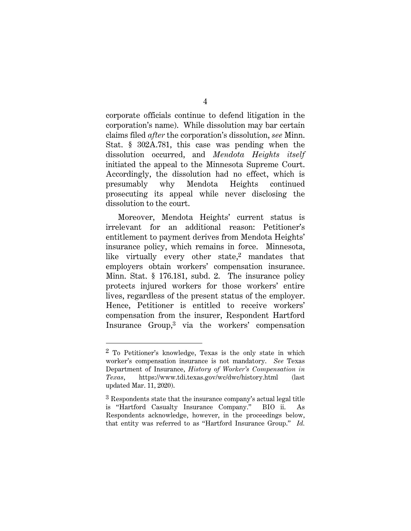corporate officials continue to defend litigation in the corporation's name). While dissolution may bar certain claims filed *after* the corporation's dissolution, *see* Minn. Stat. § 302A.781, this case was pending when the dissolution occurred, and *Mendota Heights itself* initiated the appeal to the Minnesota Supreme Court. Accordingly, the dissolution had no effect, which is presumably why Mendota Heights continued prosecuting its appeal while never disclosing the dissolution to the court.

Moreover, Mendota Heights' current status is irrelevant for an additional reason: Petitioner's entitlement to payment derives from Mendota Heights' insurance policy, which remains in force. Minnesota, like virtually every other state,<sup>2</sup> mandates that employers obtain workers' compensation insurance. Minn. Stat. § 176.181, subd. 2. The insurance policy protects injured workers for those workers' entire lives, regardless of the present status of the employer. Hence, Petitioner is entitled to receive workers' compensation from the insurer, Respondent Hartford Insurance Group,3 via the workers' compensation

<sup>2</sup> To Petitioner's knowledge, Texas is the only state in which worker's compensation insurance is not mandatory. *See* Texas Department of Insurance, *History of Worker's Compensation in Texas*, https://www.tdi.texas.gov/wc/dwc/history.html (last updated Mar. 11, 2020).

<sup>3</sup> Respondents state that the insurance company's actual legal title is "Hartford Casualty Insurance Company." BIO ii. As Respondents acknowledge, however, in the proceedings below, that entity was referred to as "Hartford Insurance Group." *Id.*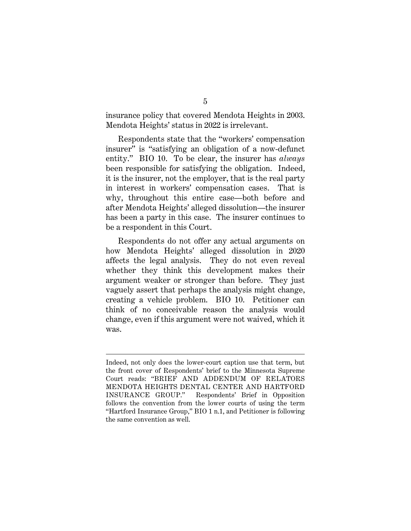insurance policy that covered Mendota Heights in 2003. Mendota Heights' status in 2022 is irrelevant.

Respondents state that the "workers' compensation insurer" is "satisfying an obligation of a now-defunct entity." BIO 10. To be clear, the insurer has *always* been responsible for satisfying the obligation. Indeed, it is the insurer, not the employer, that is the real party in interest in workers' compensation cases. That is why, throughout this entire case—both before and after Mendota Heights' alleged dissolution—the insurer has been a party in this case. The insurer continues to be a respondent in this Court.

Respondents do not offer any actual arguments on how Mendota Heights' alleged dissolution in 2020 affects the legal analysis. They do not even reveal whether they think this development makes their argument weaker or stronger than before. They just vaguely assert that perhaps the analysis might change, creating a vehicle problem. BIO 10. Petitioner can think of no conceivable reason the analysis would change, even if this argument were not waived, which it was.

Indeed, not only does the lower-court caption use that term, but the front cover of Respondents' brief to the Minnesota Supreme Court reads: "BRIEF AND ADDENDUM OF RELATORS MENDOTA HEIGHTS DENTAL CENTER AND HARTFORD INSURANCE GROUP." Respondents' Brief in Opposition follows the convention from the lower courts of using the term "Hartford Insurance Group," BIO 1 n.1, and Petitioner is following the same convention as well.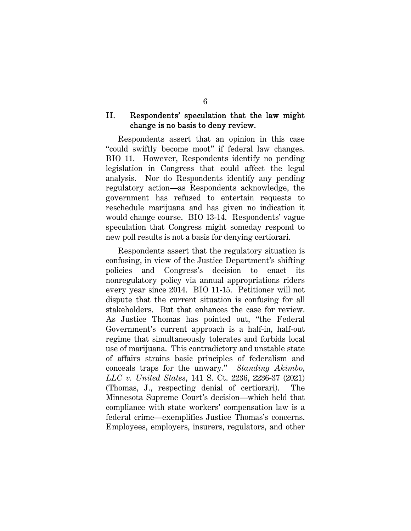## II. Respondents' speculation that the law might change is no basis to deny review.

Respondents assert that an opinion in this case "could swiftly become moot" if federal law changes. BIO 11. However, Respondents identify no pending legislation in Congress that could affect the legal analysis. Nor do Respondents identify any pending regulatory action—as Respondents acknowledge, the government has refused to entertain requests to reschedule marijuana and has given no indication it would change course. BIO 13-14. Respondents' vague speculation that Congress might someday respond to new poll results is not a basis for denying certiorari.

Respondents assert that the regulatory situation is confusing, in view of the Justice Department's shifting policies and Congress's decision to enact its nonregulatory policy via annual appropriations riders every year since 2014. BIO 11-15. Petitioner will not dispute that the current situation is confusing for all stakeholders. But that enhances the case for review. As Justice Thomas has pointed out, "the Federal Government's current approach is a half-in, half-out regime that simultaneously tolerates and forbids local use of marijuana. This contradictory and unstable state of affairs strains basic principles of federalism and conceals traps for the unwary." *Standing Akimbo, LLC v. United States*, 141 S. Ct. 2236, 2236-37 (2021) (Thomas, J., respecting denial of certiorari). The Minnesota Supreme Court's decision—which held that compliance with state workers' compensation law is a federal crime—exemplifies Justice Thomas's concerns. Employees, employers, insurers, regulators, and other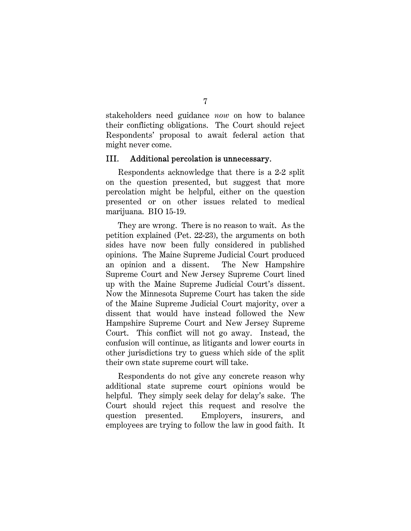stakeholders need guidance *now* on how to balance their conflicting obligations. The Court should reject Respondents' proposal to await federal action that might never come.

#### III. Additional percolation is unnecessary.

Respondents acknowledge that there is a 2-2 split on the question presented, but suggest that more percolation might be helpful, either on the question presented or on other issues related to medical marijuana. BIO 15-19.

They are wrong. There is no reason to wait. As the petition explained (Pet. 22-23), the arguments on both sides have now been fully considered in published opinions. The Maine Supreme Judicial Court produced an opinion and a dissent. The New Hampshire Supreme Court and New Jersey Supreme Court lined up with the Maine Supreme Judicial Court's dissent. Now the Minnesota Supreme Court has taken the side of the Maine Supreme Judicial Court majority, over a dissent that would have instead followed the New Hampshire Supreme Court and New Jersey Supreme Court. This conflict will not go away. Instead, the confusion will continue, as litigants and lower courts in other jurisdictions try to guess which side of the split their own state supreme court will take.

Respondents do not give any concrete reason why additional state supreme court opinions would be helpful. They simply seek delay for delay's sake. The Court should reject this request and resolve the question presented. Employers, insurers, and employees are trying to follow the law in good faith. It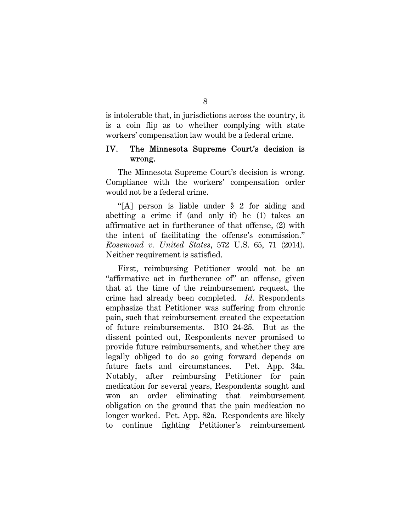is intolerable that, in jurisdictions across the country, it is a coin flip as to whether complying with state workers' compensation law would be a federal crime.

## IV. The Minnesota Supreme Court's decision is wrong.

The Minnesota Supreme Court's decision is wrong. Compliance with the workers' compensation order would not be a federal crime.

"[A] person is liable under § 2 for aiding and abetting a crime if (and only if) he (1) takes an affirmative act in furtherance of that offense, (2) with the intent of facilitating the offense's commission." *Rosemond v. United States*, 572 U.S. 65, 71 (2014). Neither requirement is satisfied.

First, reimbursing Petitioner would not be an "affirmative act in furtherance of" an offense, given that at the time of the reimbursement request, the crime had already been completed. *Id.* Respondents emphasize that Petitioner was suffering from chronic pain, such that reimbursement created the expectation of future reimbursements. BIO 24-25. But as the dissent pointed out, Respondents never promised to provide future reimbursements, and whether they are legally obliged to do so going forward depends on future facts and circumstances. Pet. App. 34a. Notably, after reimbursing Petitioner for pain medication for several years, Respondents sought and won an order eliminating that reimbursement obligation on the ground that the pain medication no longer worked. Pet. App. 82a. Respondents are likely to continue fighting Petitioner's reimbursement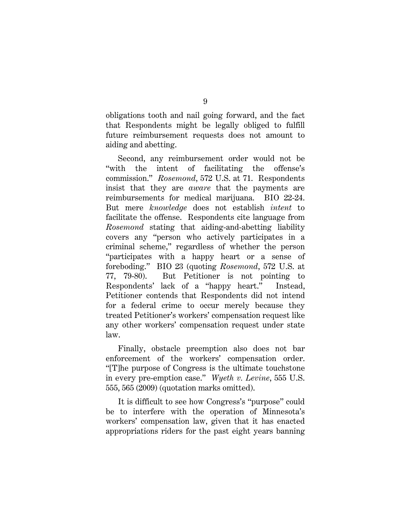obligations tooth and nail going forward, and the fact that Respondents might be legally obliged to fulfill future reimbursement requests does not amount to aiding and abetting.

Second, any reimbursement order would not be "with the intent of facilitating the offense's commission." *Rosemond*, 572 U.S. at 71. Respondents insist that they are *aware* that the payments are reimbursements for medical marijuana. BIO 22-24. But mere *knowledge* does not establish *intent* to facilitate the offense. Respondents cite language from *Rosemond* stating that aiding-and-abetting liability covers any "person who actively participates in a criminal scheme," regardless of whether the person "participates with a happy heart or a sense of foreboding." BIO 23 (quoting *Rosemond*, 572 U.S. at 77, 79-80). But Petitioner is not pointing to Respondents' lack of a "happy heart." Instead, Petitioner contends that Respondents did not intend for a federal crime to occur merely because they treated Petitioner's workers' compensation request like any other workers' compensation request under state law.

Finally, obstacle preemption also does not bar enforcement of the workers' compensation order. "[T]he purpose of Congress is the ultimate touchstone in every pre-emption case." *Wyeth v. Levine*, 555 U.S. 555, 565 (2009) (quotation marks omitted).

It is difficult to see how Congress's "purpose" could be to interfere with the operation of Minnesota's workers' compensation law, given that it has enacted appropriations riders for the past eight years banning

9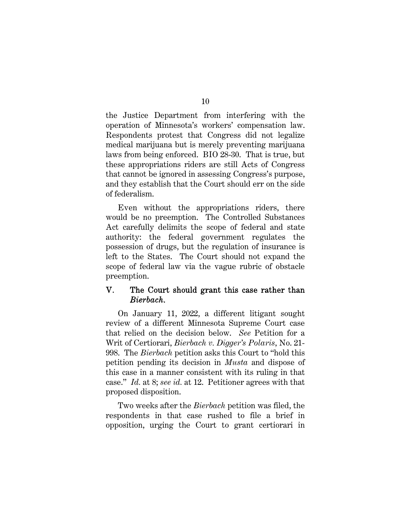the Justice Department from interfering with the operation of Minnesota's workers' compensation law. Respondents protest that Congress did not legalize medical marijuana but is merely preventing marijuana laws from being enforced. BIO 28-30. That is true, but these appropriations riders are still Acts of Congress that cannot be ignored in assessing Congress's purpose, and they establish that the Court should err on the side of federalism.

Even without the appropriations riders, there would be no preemption. The Controlled Substances Act carefully delimits the scope of federal and state authority: the federal government regulates the possession of drugs, but the regulation of insurance is left to the States. The Court should not expand the scope of federal law via the vague rubric of obstacle preemption.

## V. The Court should grant this case rather than *Bierbach*.

On January 11, 2022, a different litigant sought review of a different Minnesota Supreme Court case that relied on the decision below. *See* Petition for a Writ of Certiorari, *Bierbach v. Digger's Polaris*, No. 21- 998. The *Bierbach* petition asks this Court to "hold this petition pending its decision in *Musta* and dispose of this case in a manner consistent with its ruling in that case." *Id.* at 8; *see id.* at 12. Petitioner agrees with that proposed disposition.

Two weeks after the *Bierbach* petition was filed, the respondents in that case rushed to file a brief in opposition, urging the Court to grant certiorari in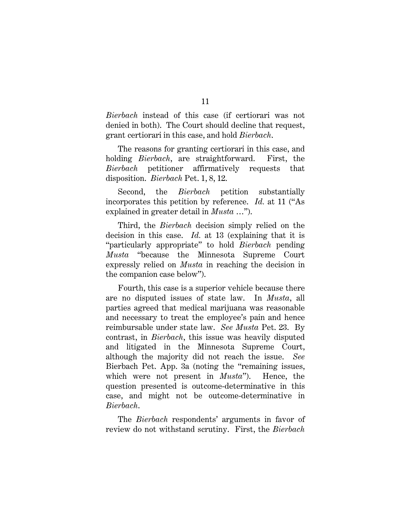*Bierbach* instead of this case (if certiorari was not denied in both). The Court should decline that request, grant certiorari in this case, and hold *Bierbach*.

The reasons for granting certiorari in this case, and holding *Bierbach*, are straightforward. First, the *Bierbach* petitioner affirmatively requests that disposition. *Bierbach* Pet. 1, 8, 12.

Second, the *Bierbach* petition substantially incorporates this petition by reference. *Id.* at 11 ("As explained in greater detail in *Musta* …").

Third, the *Bierbach* decision simply relied on the decision in this case. *Id.* at 13 (explaining that it is "particularly appropriate" to hold *Bierbach* pending *Musta* "because the Minnesota Supreme Court expressly relied on *Musta* in reaching the decision in the companion case below").

Fourth, this case is a superior vehicle because there are no disputed issues of state law. In *Musta*, all parties agreed that medical marijuana was reasonable and necessary to treat the employee's pain and hence reimbursable under state law. *See Musta* Pet. 23. By contrast, in *Bierbach*, this issue was heavily disputed and litigated in the Minnesota Supreme Court, although the majority did not reach the issue. *See*  Bierbach Pet. App. 3a (noting the "remaining issues, which were not present in *Musta*"). Hence, the question presented is outcome-determinative in this case, and might not be outcome-determinative in *Bierbach*.

The *Bierbach* respondents' arguments in favor of review do not withstand scrutiny. First, the *Bierbach*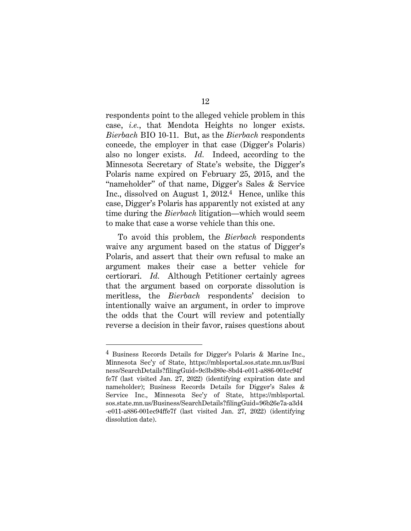respondents point to the alleged vehicle problem in this case, *i.e.*, that Mendota Heights no longer exists. *Bierbach* BIO 10-11. But, as the *Bierbach* respondents concede, the employer in that case (Digger's Polaris) also no longer exists. *Id.* Indeed, according to the Minnesota Secretary of State's website, the Digger's Polaris name expired on February 25, 2015, and the "nameholder" of that name, Digger's Sales & Service Inc., dissolved on August 1, 2012.4 Hence, unlike this case, Digger's Polaris has apparently not existed at any time during the *Bierbach* litigation—which would seem to make that case a worse vehicle than this one.

To avoid this problem, the *Bierbach* respondents waive any argument based on the status of Digger's Polaris, and assert that their own refusal to make an argument makes their case a better vehicle for certiorari. *Id.* Although Petitioner certainly agrees that the argument based on corporate dissolution is meritless, the *Bierbach* respondents' decision to intentionally waive an argument, in order to improve the odds that the Court will review and potentially reverse a decision in their favor, raises questions about

<sup>4</sup> Business Records Details for Digger's Polaris & Marine Inc., Minnesota Sec'y of State, https://mblsportal.sos.state.mn.us/Busi ness/SearchDetails?filingGuid=9c3bd80e-8bd4-e011-a886-001ec94f fe7f (last visited Jan. 27, 2022) (identifying expiration date and nameholder); Business Records Details for Digger's Sales & Service Inc., Minnesota Sec'y of State, https://mblsportal. sos.state.mn.us/Business/SearchDetails?filingGuid=96b26e7a-a3d4 -e011-a886-001ec94ffe7f (last visited Jan. 27, 2022) (identifying dissolution date).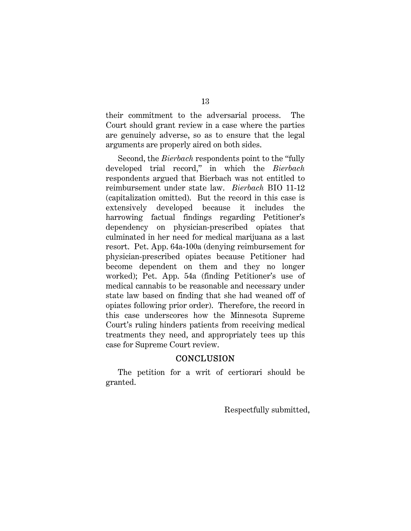their commitment to the adversarial process. The Court should grant review in a case where the parties are genuinely adverse, so as to ensure that the legal arguments are properly aired on both sides.

Second, the *Bierbach* respondents point to the "fully developed trial record," in which the *Bierbach* respondents argued that Bierbach was not entitled to reimbursement under state law. *Bierbach* BIO 11-12 (capitalization omitted). But the record in this case is extensively developed because it includes the harrowing factual findings regarding Petitioner's dependency on physician-prescribed opiates that culminated in her need for medical marijuana as a last resort. Pet. App. 64a-100a (denying reimbursement for physician-prescribed opiates because Petitioner had become dependent on them and they no longer worked); Pet. App. 54a (finding Petitioner's use of medical cannabis to be reasonable and necessary under state law based on finding that she had weaned off of opiates following prior order). Therefore, the record in this case underscores how the Minnesota Supreme Court's ruling hinders patients from receiving medical treatments they need, and appropriately tees up this case for Supreme Court review.

# **CONCLUSION**

The petition for a writ of certiorari should be granted.

Respectfully submitted,